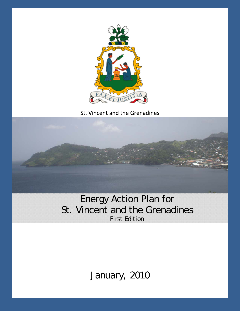

St. Vincent and the Grenadines



# Energy Action Plan for St. Vincent and the Grenadines First Edition

January, 2010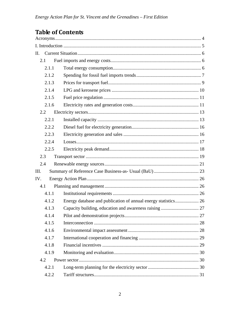# **Table of Contents**

| П.   |       |  |
|------|-------|--|
| 2.1  |       |  |
|      | 2.1.1 |  |
|      | 2.1.2 |  |
|      | 2.1.3 |  |
|      | 2.1.4 |  |
|      | 2.1.5 |  |
|      | 2.1.6 |  |
|      | 2.2   |  |
|      | 2.2.1 |  |
|      | 2.2.2 |  |
|      | 2.2.3 |  |
|      | 2.2.4 |  |
|      | 2.2.5 |  |
|      | 2.3   |  |
| 2.4  |       |  |
| III. |       |  |
| IV.  |       |  |
|      | 4.1   |  |
|      | 4.1.1 |  |
|      | 4.1.2 |  |
|      | 4.1.3 |  |
|      | 4.1.4 |  |
|      | 4.1.5 |  |
|      | 4.1.6 |  |
|      | 4.1.7 |  |
|      | 4.1.8 |  |
|      | 4.1.9 |  |
|      | 4.2   |  |
|      | 4.2.1 |  |
|      | 4.2.2 |  |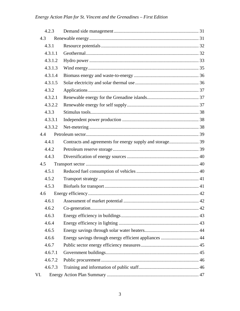## Energy Action Plan for St. Vincent and the Grenadines - First Edition

|     | 4.2.3   |                                                           |  |
|-----|---------|-----------------------------------------------------------|--|
| 4.3 |         |                                                           |  |
|     | 4.3.1   |                                                           |  |
|     | 4.3.1.1 |                                                           |  |
|     | 4.3.1.2 |                                                           |  |
|     | 4.3.1.3 |                                                           |  |
|     | 4.3.1.4 |                                                           |  |
|     | 4.3.1.5 |                                                           |  |
|     | 4.3.2   |                                                           |  |
|     | 4.3.2.1 |                                                           |  |
|     | 4.3.2.2 |                                                           |  |
|     | 4.3.3   |                                                           |  |
|     | 4.3.3.1 |                                                           |  |
|     | 4.3.3.2 |                                                           |  |
|     | 4.4     |                                                           |  |
|     | 4.4.1   | Contracts and agreements for energy supply and storage 39 |  |
|     | 4.4.2   |                                                           |  |
|     | 4.4.3   |                                                           |  |
|     | 4.5     |                                                           |  |
|     | 4.5.1   |                                                           |  |
|     | 4.5.2   |                                                           |  |
|     | 4.5.3   |                                                           |  |
| 4.6 |         |                                                           |  |
|     | 4.6.1   |                                                           |  |
|     | 4.6.2   |                                                           |  |
|     | 4.6.3   |                                                           |  |
|     | 4.6.4   |                                                           |  |
|     | 4.6.5   |                                                           |  |
|     | 4.6.6   | Energy savings through energy efficient appliances  44    |  |
|     | 4.6.7   |                                                           |  |
|     | 4.6.7.1 |                                                           |  |
|     | 4.6.7.2 |                                                           |  |
|     | 4.6.7.3 |                                                           |  |
| VI. |         |                                                           |  |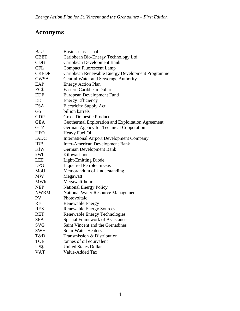# **Acronyms**

| BaU          | Business-as-Usual                                 |
|--------------|---------------------------------------------------|
| <b>CBET</b>  | Caribbean Bio-Energy Technology Ltd.              |
| <b>CDB</b>   | Caribbean Development Bank                        |
| <b>CFL</b>   | <b>Compact Fluorescent Lamp</b>                   |
| <b>CREDP</b> | Caribbean Renewable Energy Development Programme  |
| <b>CWSA</b>  | Central Water and Sewerage Authority              |
| EAP          | <b>Energy Action Plan</b>                         |
| EC\$         | Eastern Caribbean Dollar                          |
| <b>EDF</b>   | European Development Fund                         |
| EE           | <b>Energy Efficiency</b>                          |
| <b>ESA</b>   | <b>Electricity Supply Act</b>                     |
| Gb           | billion barrels                                   |
| <b>GDP</b>   | <b>Gross Domestic Product</b>                     |
| <b>GEA</b>   | Geothermal Exploration and Exploitation Agreement |
| <b>GTZ</b>   | German Agency for Technical Cooperation           |
| <b>HFO</b>   | Heavy Fuel Oil                                    |
| <b>IADC</b>  | <b>International Airport Development Company</b>  |
| <b>IDB</b>   | <b>Inter-American Development Bank</b>            |
| <b>KfW</b>   | <b>German Development Bank</b>                    |
| kWh          | Kilowatt-hour                                     |
| <b>LED</b>   | <b>Light-Emitting Diode</b>                       |
| <b>LPG</b>   | Liquefied Petroleum Gas                           |
| MoU          | Memorandum of Understanding                       |
| MW           | Megawatt                                          |
| MWh          | Megawatt-hour                                     |
| <b>NEP</b>   | <b>National Energy Policy</b>                     |
| <b>NWRM</b>  | <b>National Water Resource Management</b>         |
| <b>PV</b>    | Photovoltaic                                      |
| <b>RE</b>    | <b>Renewable Energy</b>                           |
| <b>RES</b>   | <b>Renewable Energy Sources</b>                   |
| <b>RET</b>   | Renewable Energy Technologies                     |
| <b>SFA</b>   | <b>Special Framework of Assistance</b>            |
| <b>SVG</b>   | Saint Vincent and the Grenadines                  |
| <b>SWH</b>   | <b>Solar Water Heaters</b>                        |
| T&D          | Transmission & Distribution                       |
| <b>TOE</b>   | tonnes of oil equivalent                          |
| US\$         | <b>United States Dollar</b>                       |
| <b>VAT</b>   | Value-Added Tax                                   |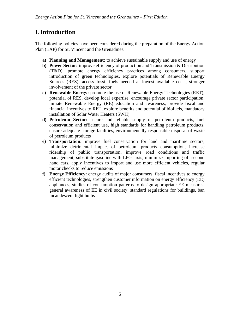## **I. Introduction**

The following policies have been considered during the preparation of the Energy Action Plan (EAP) for St. Vincent and the Grenadines.

- **a) Planning and Management:** to achieve sustainable supply and use of energy
- **b) Power Sector:** improve efficiency of production and Transmission & Distribution (T&D), promote energy efficiency practices among consumers, support introduction of green technologies, explore potentials of Renewable Energy Sources (RES), access fossil fuels needed at lowest available costs, stronger involvement of the private sector
- **c) Renewable Energy:** promote the use of Renewable Energy Technologies (RET), potential of RES, develop local expertise, encourage private sector participation, initiate Renewable Energy (RE) education and awareness, provide fiscal and financial incentives to RET, explore benefits and potential of biofuels, mandatory installation of Solar Water Heaters (SWH)
- **d) Petroleum Sector:** secure and reliable supply of petroleum products, fuel conservation and efficient use, high standards for handling petroleum products, ensure adequate storage facilities, environmentally responsible disposal of waste of petroleum products
- **e) Transportation:** improve fuel conservation for land and maritime sectors, minimize detrimental impact of petroleum products consumption, increase ridership of public transportation, improve road conditions and traffic management, substitute gasoline with LPG taxis, minimize importing of second hand cars, apply incentives to import and use more efficient vehicles, regular motor checks to reduce emissions
- **f) Energy Efficiency:** energy audits of major consumers, fiscal incentives to energy efficient technologies, strengthen customer information on energy efficiency (EE) appliances, studies of consumption patterns to design appropriate EE measures, general awareness of EE in civil society, standard regulations for buildings, ban incandescent light bulbs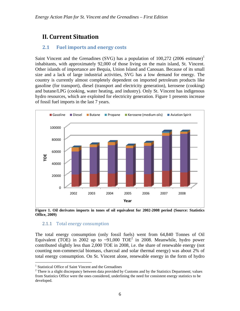## **II. Current Situation**

## **2.1 Fuel imports and energy costs**

Saint Vincent and the Grenadines (SVG) has a population of  $100,272$  (2006 estimate)<sup>1</sup> inhabitants, with approximately 92,000 of those living on the main island, St. Vincent. Other islands of importance are Bequia, Union Island and Canouan. Because of its small size and a lack of large industrial activities, SVG has a low demand for energy. The country is currently almost completely dependent on imported petroleum products like gasoline (for transport), diesel (transport and electricity generation), kerosene (cooking) and butane/LPG (cooking, water heating, and industry). Only St. Vincent has indigenous hydro resources, which are exploited for electricity generation. Figure 1 presents increase of fossil fuel imports in the last 7 years.



**Figure 1. Oil derivates imports in tones of oil equivalent for 2002-2008 period (Source: Statistics Office, 2009)** 

## 2.1.1 Total energy consumption

The total energy consumption (only fossil fuels) went from 64,840 Tonnes of Oil Equivalent (TOE) in 2002 up to ~91,000 TOE<sup>2</sup> in 2008. Meanwhile, hydro power contributed slightly less than 2,000 TOE in 2008, i.e. the share of renewable energy (not counting non-commercial biomass, charcoal and solar thermal energy) was about 2% of total energy consumption. On St. Vincent alone, renewable energy in the form of hydro

 1 Statistical Office of Saint Vincent and the Grenadines

 $2^2$  There is a slight discrepancy between data provided by Customs and by the Statistics Department; values from Statistics Office were the ones considered, underlining the need for consistent energy statistics to be developed.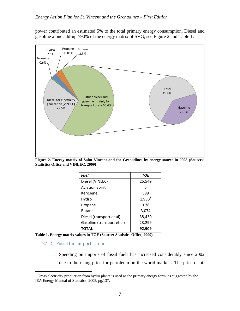power contributed an estimated 5% to the total primary energy consumption. Diesel and gasoline alone add-up >90% of the energy matrix of SVG, see Figure 2 and Table 1.



**Figure 2. Energy matrix of Saint Vincent and the Grenadines by energy source in 2008 (Sources: Statistics Office and VINLEC, 2009)** 

| Fuel                       | <b>TOE</b> |  |
|----------------------------|------------|--|
| Diesel (VINLEC)            | 25,549     |  |
| <b>Aviation Spirit</b>     | 5          |  |
| Kerosene                   | 598        |  |
| Hydro                      | $1,953^3$  |  |
| Propane                    | 0.78       |  |
| <b>Butane</b>              | 3,074      |  |
| Diesel (transport et al)   | 38,430     |  |
| Gasoline (transport et al) | 23,299     |  |
| <b>TOTAL</b>               | 92,909     |  |

**Table 1. Energy matrix values in TOE (Source: Statistics Office, 2009)** 

#### 2.1.2 Fossil fuel imports trends

1. Spending on imports of fossil fuels has increased considerably since 2002 due to the rising price for petroleum on the world markets. The price of oil

<sup>&</sup>lt;sup>3</sup> Gross electricity production from hydro plants is used as the primary energy form, as suggested by the IEA Energy Manual of Statistics, 2005, pg.137.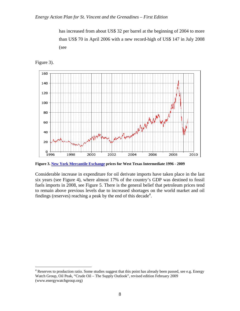has increased from about US\$ 32 per barrel at the beginning of 2004 to more than US\$ 70 in April 2006 with a new record-high of US\$ 147 in July 2008 (see



Figure 3).

 $\overline{a}$ 

**Figure 3. New York Mercantile Exchange prices for West Texas Intermediate 1996 - 2009**

Considerable increase in expenditure for oil derivate imports have taken place in the last six years (see Figure 4), where almost 17% of the country's GDP was destined to fossil fuels imports in 2008, see Figure 5. There is the general belief that petroleum prices tend to remain above previous levels due to increased shortages on the world market and oil findings (reserves) reaching a peak by the end of this decade<sup>4</sup>.

<sup>&</sup>lt;sup>4</sup> Reserves to production ratio. Some studies suggest that this point has already been passed, see e.g. Energy Watch Group, Oil Peak, "Crude Oil – The Supply Outlook", revised edition February 2009 (www.energywatchgroup.org)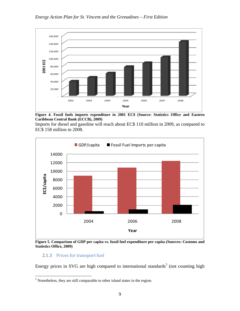

**Figure 4. Fossil fuels imports expenditure in 2001 EC\$ (Source: Statistics Office and Eastern Caribbean Central Bank (ECCB), 2009)** 

Imports for diesel and gasoline will reach about EC\$ 110 million in 2009, as compared to EC\$ 158 million in 2008.



**Figure 5. Comparison of GDP per capita vs. fossil fuel expenditure per capita (Sources: Customs and Statistics Office, 2009)** 

## 2.1.3 Prices for transport fuel

 $\overline{a}$ 

Energy prices in SVG are high compared to international standards<sup>5</sup> (not counting high

 $<sup>5</sup>$  Nonetheless, they are still comparable to other island states in the region.</sup>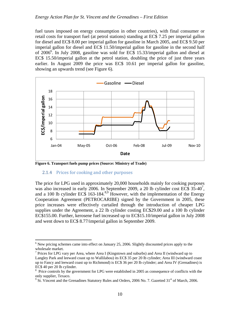fuel taxes imposed on energy consumption in other countries), with final consumer or retail costs for transport fuel (at petrol stations) standing at EC\$ 7.25 per imperial gallon for diesel and EC\$ 8.00 per imperial gallon for gasoline in March 2005, and EC\$ 9.50 per imperial gallon for diesel and EC\$ 11.50/imperial gallon for gasoline in the second half of 2006<sup>6</sup>. In July 2008, gasoline was sold for EC\$ 15.33/imperial gallon and diesel at EC\$ 15.50/imperial gallon at the petrol station, doubling the price of just three years earlier. In August 2009 the price was EC\$ 10.61 per imperial gallon for gasoline, showing an upwards trend (see Figure 6).



**Figure 6. Transport fuels pump prices (Source: Ministry of Trade)**

#### 2.1.4 Prices for cooking and other purposes

1

The price for LPG used in approximately 20,000 households mainly for cooking purposes was also increased in early 2006. In September 2009, a 20 lb cylinder cost EC\$ 35-40<sup>7</sup>, and a 100 lb cylinder EC\$ 163-184.<sup>8,9</sup> However, with the implementation of the Energy Cooperation Agreement (PETROCARIBE) signed by the Government in 2005, these price increases were effectively curtailed through the introduction of cheaper LPG supplies under the Agreement, a 22 lb cylinder costing EC\$29.00 and a 100 lb cylinder EC\$155.00. Further, kerosene fuel increased up to EC\$15.10/imperial gallon in July 2008 and went down to EC\$ 8.77/imperial gallon in September 2009.

 $6$  New pricing schemes came into effect on January 25, 2006. Slightly discounted prices apply to the wholesale market.

<sup>&</sup>lt;sup>7</sup> Prices for LPG vary per Area, where Area I (Kingstown and suburbs) and Area II (windward up to Langley Park and leeward coast up to Wallilabou) its EC\$ 35 per 20 lb cylinder; Area III (windward coast up to Fancy and leeward coast up to Richmond) is EC\$ 36 per 20 lb cylinder; and Area IV (Grenadines) is EC\$ 40 per 20 lb cylinder.

<sup>&</sup>lt;sup>8</sup> Price controls by the government for LPG were established in 2005 as consequence of conflicts with the only supplier, Texaco.

<sup>&</sup>lt;sup>9</sup> St. Vincent and the Grenadines Statutory Rules and Orders, 2006 No. 7. Gazetted 31<sup>st</sup> of March, 2006.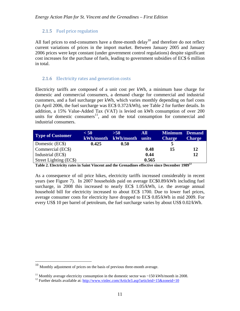## 2.1.5 Fuel price regulation

All fuel prices to end-consumers have a three-month delay<sup>10</sup> and therefore do not reflect current variations of prices in the import market. Between January 2005 and January 2006 prices were kept constant (under government control regulations) despite significant cost increases for the purchase of fuels, leading to government subsidies of EC\$ 6 million in total.

## 2.1.6 Electricity rates and generation costs

Electricity tariffs are composed of a unit cost per kWh, a minimum base charge for domestic and commercial consumers, a demand charge for commercial and industrial customers, and a fuel surcharge per kWh, which varies monthly depending on fuel costs (in April 2006, the fuel surcharge was EC\$ 0.372/kWh), see Table 2 for further details. In addition, a 15% Value-Added Tax (VAT) is levied on kWh consumption of over 200 units for domestic consumers $11$ , and on the total consumption for commercial and industrial consumers.

| <b>Type of Customer</b> | < 50  | >50<br>kWh/month kWh/month | All<br>units | <b>Minimum Demand</b><br><b>Charge</b> | <b>Charge</b>            |
|-------------------------|-------|----------------------------|--------------|----------------------------------------|--------------------------|
| Domestic (EC\$)         | 0.425 | 0.50                       |              |                                        |                          |
| Commercial (EC\$)       |       |                            | 0.48         | 15                                     | 12                       |
| Industrial (EC\$)       |       |                            | 0.44         |                                        | 12                       |
| Street Lighting (EC\$)  |       |                            | 0.565        |                                        | $\overline{\phantom{a}}$ |

**Table 2. Electricity rates in Saint Vincent and the Grenadines effective since December 198912**

As a consequence of oil price hikes, electricity tariffs increased considerably in recent years (see Figure 7). In 2007 households paid on average EC\$0.89/kWh including fuel surcharge, in 2008 this increased to nearly EC\$ 1.05/kWh, i.e. the average annual household bill for electricity increased to about EC\$ 1700. Due to lower fuel prices, average consumer costs for electricity have dropped to EC\$ 0.85/kWh in mid 2009. For every US\$ 10 per barrel of petroleum, the fuel surcharge varies by about US\$ 0.02/kWh.

 $\overline{a}$ 

 $10$  Monthly adjustment of prices on the basis of previous three-month average.

<sup>&</sup>lt;sup>11</sup> Monthly average electricity consumption in the domestic sector was  $\sim$ 150 kWh/month in 2008.

<sup>&</sup>lt;sup>12</sup> Further details available at: http://www.vinlec.com/Article3.asp?articleid=15&zoneid=10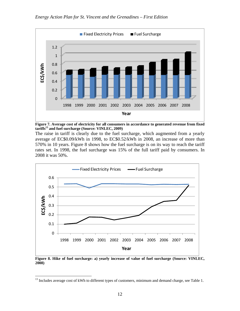

**Figure 7. Average cost of electricity for all consumers in accordance to generated revenue from fixed**  tariffs<sup>13</sup> and fuel surcharge (Source: VINLEC, 2009)

The raise in tariff is clearly due to the fuel surcharge, which augmented from a yearly average of EC\$0.09/kWh in 1998, to EC\$0.52/kWh in 2008, an increase of more than 570% in 10 years. Figure 8 shows how the fuel surcharge is on its way to reach the tariff rates set. In 1998, the fuel surcharge was 15% of the full tariff paid by consumers. In 2008 it was 50%.



**Figure 8. Hike of fuel surcharge: a) yearly increase of value of fuel surcharge (Source: VINLEC, 2008)** 

 $\overline{a}$ 

<sup>&</sup>lt;sup>13</sup> Includes average cost of kWh to different types of customers, minimum and demand charge, see Table 1.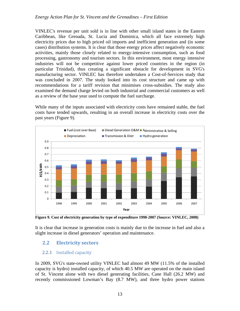VINLEC's revenue per unit sold is in line with other small island states in the Eastern Caribbean, like Grenada, St. Lucia and Dominica, which all face extremely high electricity prices due to high priced oil imports and inefficient generation and (in some cases) distribution systems. It is clear that those energy prices affect negatively economic activities, mainly those closely related to energy-intensive consumption, such as food processing, gastronomy and tourism sectors. In this environment, most energy intensive industries will not be competitive against lower priced countries in the region (in particular Trinidad), thus creating a significant obstacle for development in SVG's manufacturing sector. VINLEC has therefore undertaken a Cost-of-Services study that was concluded in 2007. The study looked into its cost structure and came up with recommendations for a tariff revision that minimises cross-subsidies. The study also examined the demand charge levied on both industrial and commercial customers as well as a review of the base year used to compute the fuel surcharge.

While many of the inputs associated with electricity costs have remained stable, the fuel costs have tended upwards, resulting in an overall increase in electricity costs over the past years (Figure 9).



**Figure 9. Cost of electricity generation by type of expenditure 1998-2007 (Source: VINLEC, 2008)** 

It is clear that increase in generation costs is mainly due to the increase in fuel and also a slight increase in diesel generators' operation and maintenance.

## **2.2 Electricity sectors**

## 2.2.1 Installed capacity

In 2009, SVG's state-owned utility VINLEC had almost 49 MW (11.5% of the installed capacity is hydro) installed capacity, of which 40.5 MW are operated on the main island of St. Vincent alone with two diesel generating facilities, Cane Hall (26.2 MW) and recently commissioned Lowman's Bay (8.7 MW), and three hydro power stations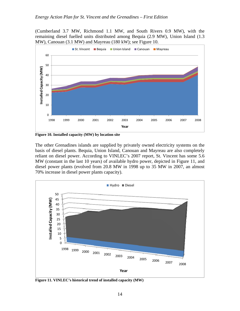(Cumberland 3.7 MW, Richmond 1.1 MW, and South Rivers 0.9 MW), with the remaining diesel fuelled units distributed among Bequia (2.9 MW), Union Island (1.3 MW), Canouan (3.1 MW) and Mayreau (180 kW); see Figure 10.



**Figure 10. Installed capacity (MW) by location site** 

The other Grenadines islands are supplied by privately owned electricity systems on the basis of diesel plants. Bequia, Union Island, Canouan and Mayreau are also completely reliant on diesel power. According to VINLEC's 2007 report, St. Vincent has some 5.6 MW (constant in the last 10 years) of available hydro power, depicted in Figure 11, and diesel power plants (evolved from 20.8 MW in 1998 up to 35 MW in 2007, an almost 70% increase in diesel power plants capacity).



**Figure 11. VINLEC's historical trend of installed capacity (MW)**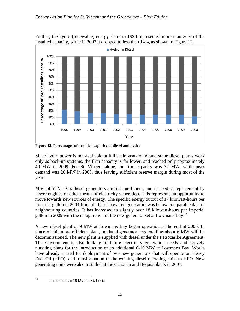



**Figure 12. Percentages of installed capacity of diesel and hydro** 

Since hydro power is not available at full scale year-round and some diesel plants work only as back-up systems, the firm capacity is far lower, and reached only approximately 40 MW in 2009. For St. Vincent alone, the firm capacity was 32 MW, while peak demand was 20 MW in 2008, thus leaving sufficient reserve margin during most of the year.

Most of VINLEC's diesel generators are old, inefficient, and in need of replacement by newer engines or other means of electricity generation. This represents an opportunity to move towards new sources of energy. The specific energy output of 17 kilowatt-hours per imperial gallon in 2004 from all diesel-powered generators was below comparable data in neighbouring countries. It has increased to slightly over 18 kilowatt-hours per imperial gallon in 2009 with the inauguration of the new generator set at Lowmans Bay.<sup>14</sup>

A new diesel plant of 9 MW at Lowmans Bay began operation at the end of 2006. In place of this more efficient plant, outdated generator sets totalling about 6 MW will be decommissioned. The new plant is supplied with diesel under the Petrocaribe Agreement. The Government is also looking to future electricity generation needs and actively pursuing plans for the introduction of an additional 8-10 MW at Lowmans Bay. Works have already started for deployment of two new generators that will operate on Heavy Fuel Oil (HFO), and transformation of the existing diesel-operating units to HFO. New generating units were also installed at the Canouan and Bequia plants in 2007.

 $14$ It is more than 19 kWh in St. Lucia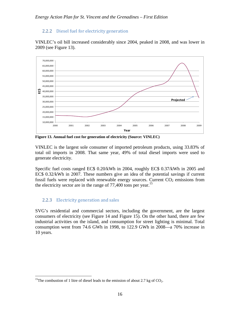## 2.2.2 Diesel fuel for electricity generation

VINLEC's oil bill increased considerably since 2004, peaked in 2008, and was lower in 2009 (see Figure 13).



**Figure 13. Annual fuel cost for generation of electricity (Source: VINLEC)** 

VINLEC is the largest sole consumer of imported petroleum products, using 33.83% of total oil imports in 2008. That same year, 49% of total diesel imports were used to generate electricity.

Specific fuel costs ranged EC\$ 0.20/kWh in 2004, roughly EC\$ 0.37/kWh in 2005 and EC\$ 0.32/kWh in 2007. These numbers give an idea of the potential savings if current fossil fuels were replaced with renewable energy sources. Current  $CO<sub>2</sub>$  emissions from the electricity sector are in the range of  $77,400$  tons per year.<sup>15</sup>

## 2.2.3 Electricity generation and sales

 $\overline{a}$ 

SVG's residential and commercial sectors, including the government, are the largest consumers of electricity (see Figure 14 and Figure 15). On the other hand, there are few industrial activities on the island, and consumption for street lighting is minimal. Total consumption went from 74.6 GWh in 1998, to 122.9 GWh in 2008—a 70% increase in 10 years.

<sup>&</sup>lt;sup>15</sup>The combustion of 1 litre of diesel leads to the emission of about 2.7 kg of  $CO<sub>2</sub>$ .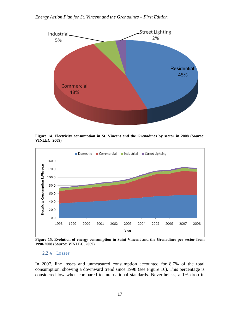#### *Energy Action Plan for St. Vincent and the Grenadines – First Edition*



**Figure 14. Electricity consumption in St. Vincent and the Grenadines by sector in 2008 (Source: VINLEC, 2009)** 



**Figure 15. Evolution of energy consumption in Saint Vincent and the Grenadines per sector from 1998-2008 (Source: VINLEC, 2009)** 

#### 2.2.4 Losses

In 2007, line losses and unmeasured consumption accounted for 8.7% of the total consumption, showing a downward trend since 1998 (see Figure 16). This percentage is considered low when compared to international standards. Nevertheless, a 1% drop in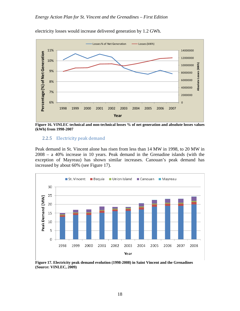

electricity losses would increase delivered generation by 1.2 GWh.

**Figure 16. VINLEC technical and non-technical losses % of net generation and absolute losses values (kWh) from 1998-2007** 

#### 2.2.5 Electricity peak demand

Peak demand in St. Vincent alone has risen from less than 14 MW in 1998, to 20 MW in 2008 – a 40% increase in 10 years. Peak demand in the Grenadine islands (with the exception of Mayreau) has shown similar increases. Canouan's peak demand has increased by about 60% (see Figure 17).



**Figure 17. Electricity peak demand evolution (1998-2008) in Saint Vincent and the Grenadines (Source: VINLEC, 2009)**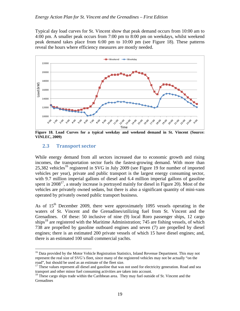Typical day load curves for St. Vincent show that peak demand occurs from 10:00 am to 4:00 pm. A smaller peak occurs from 7:00 pm to 8:00 pm on weekdays, whilst weekend peak demand takes place from 6:00 pm to 10:00 pm (see Figure 18). These patterns reveal the hours where efficiency measures are mostly needed.



**Figure 18. Load Curves for a typical weekday and weekend demand in St. Vincent (Source: VINLEC, 2009)** 

## **2.3 Transport sector**

 $\overline{a}$ 

While energy demand from all sectors increased due to economic growth and rising incomes, the transportation sector fuels the fastest-growing demand. With more than 25,382 vehicles<sup>16</sup> registered in SVG in July 2009 (see Figure 19 for number of imported vehicles per year), private and public transport is the largest energy consuming sector, with 9.7 million imperial gallons of diesel and 6.4 million imperial gallons of gasoline spent in  $2008^{17}$ , a steady increase is portrayed mainly for diesel in Figure 20). Most of the vehicles are privately owned sedans, but there is also a significant quantity of mini-vans operated by privately owned public transport business.

As of  $15<sup>th</sup>$  December 2009, there were approximately 1095 vessels operating in the waters of St. Vincent and the Grenadines/utilizing fuel from St. Vincent and the Grenadines. Of these: 50 inclusive of nine (9) local Roro passenger ships, 12 cargo ships<sup>18</sup> are registered with the Maritime Administration; 745 are fishing vessels, of which 738 are propelled by gasoline outboard engines and seven (7) are propelled by diesel engines; there is an estimated 200 private vessels of which 15 have diesel engines; and, there is an estimated 100 small commercial yachts.

<sup>&</sup>lt;sup>16</sup> Data provided by the Motor Vehicle Registration Statistics, Inland Revenue Department. This may not represent the real size of SVG's fleet, since many of the registered vehicles may not be actually "on the road", but should be used as an estimate of the fleet size.

<sup>&</sup>lt;sup>17</sup> These values represent all diesel and gasoline that was not used for electricity generation. Road and sea transport and other minor fuel consuming activities are taken into account.

<sup>&</sup>lt;sup>18</sup> These cargo ships trade within the Caribbean area. They may fuel outside of St. Vincent and the **Grenadines**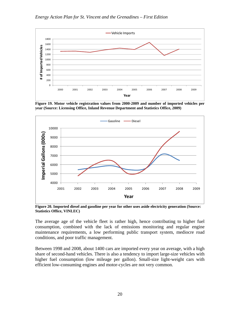

**Figure 19. Motor vehicle registration values from 2000-2009 and number of imported vehicles per year (Source: Licensing Office, Inland Revenue Department and Statistics Office, 2009)** 



**Figure 20. Imported diesel and gasoline per year for other uses aside electricity generation (Source: Statistics Office, VINLEC)** 

The average age of the vehicle fleet is rather high, hence contributing to higher fuel consumption, combined with the lack of emissions monitoring and regular engine maintenance requirements, a low performing public transport system, mediocre road conditions, and poor traffic management.

Between 1998 and 2008, about 1400 cars are imported every year on average, with a high share of second-hand vehicles. There is also a tendency to import large-size vehicles with higher fuel consumption (low mileage per gallon). Small-size light-weight cars with efficient low-consuming engines and motor-cycles are not very common.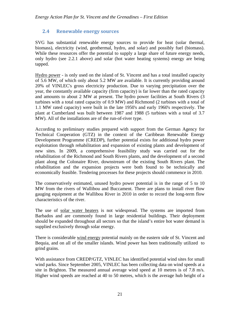## **2.4 Renewable energy sources**

SVG has substantial renewable energy sources to provide for heat (solar thermal, biomass), electricity (wind, geothermal, hydro, and solar) and possibly fuel (biomass). While these resources offer the potential to supply a large share of future energy needs, only hydro (see 2.2.1 above) and solar (hot water heating systems) energy are being tapped.

Hydro power - is only used on the island of St. Vincent and has a total installed capacity of 5.6 MW, of which only about 5.2 MW are available. It is currently providing around 20% of VINLEC's gross electricity production. Due to varying precipitation over the year, the constantly available capacity (firm capacity) is far lower than the rated capacity and amounts to about 2 MW at present. The hydro power facilities at South Rivers (3 turbines with a total rated capacity of 0.9 MW) and Richmond (2 turbines with a total of 1.1 MW rated capacity) were built in the late 1950's and early 1960's respectively. The plant at Cumberland was built between 1987 and 1988 (5 turbines with a total of 3.7 MW). All of the installations are of the run-of-river type.

According to preliminary studies prepared with support from the German Agency for Technical Cooperation (GTZ) in the context of the Caribbean Renewable Energy Development Programme (CREDP), further potential exists for additional hydro power exploitation through rehabilitation and expansion of existing plants and development of new sites. In 2009, a comprehensive feasibility study was carried out for the rehabilitation of the Richmond and South Rivers plants, and the development of a second plant along the Colonaire River, downstream of the existing South Rivers plant. The rehabilitation and the expansion projects were both found to be technically and economically feasible. Tendering processes for these projects should commence in 2010.

The conservatively estimated, unused hydro power potential is in the range of 5 to 10 MW from the rivers of Wallibou and Buccament. There are plans to install river flow gauging equipment at the Wallibou River in 2010 in order to record the long-term flow characteristics of the river.

The use of solar water heaters is not widespread. The systems are imported from Barbados and are commonly found in large residential buildings. Their deployment should be expanded throughout all sectors so that the island's entire hot water demand is supplied exclusively through solar energy.

There is considerable wind energy potential mainly on the eastern side of St. Vincent and Bequia, and on all of the smaller islands. Wind power has been traditionally utilized to grind grains.

With assistance from CREDP/GTZ, VINLEC has identified potential wind sites for small wind parks. Since September 2005, VINLEC has been collecting data on wind speeds at a site in Brighton. The measured annual average wind speed at 10 metres is of 7.8 m/s. Higher wind speeds are reached at 40 to 50 metres, which is the average hub height of a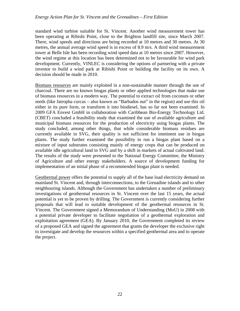standard wind turbine suitable for St. Vincent. Another wind measurement tower has been operating at Ribishi Point, close to the Brighton landfill site, since March 2007. There, wind speeds and directions are being recorded at 10 metres and 30 metres. At 30 metres, the annual average wind speed is in excess of 8.9 m/s. A third wind measurement tower at Belle Isle has been recording wind speed data at 10 metres since 2007. However, the wind regime at this location has been determined not to be favourable for wind park development. Currently, VINLEC is considering the options of partnering with a private investor to build a wind park at Ribishi Point or building the facility on its own. A decision should be made in 2010.

Biomass resources are mainly exploited in a non-sustainable manner through the use of charcoal. There are no known biogas plants or other applied technologies that make use of biomass resources in a modern way. The potential to extract oil from coconuts or other seeds (like Jatropha curcas – also known as "Barbados nut" in the region) and use this oil either in its pure form, or transform it into biodiesel, has so far not been examined. In 2009 GFA Envest GmbH in collaboration with Caribbean Bio-Energy Technology Ltd. (CBET) concluded a feasibility study that examined the use of available agriculture and municipal biomass resources for the production of electricity using biogas plants. The study concluded, among other things, that while considerable biomass residues are currently available in SVG, their quality is not sufficient for imminent use in biogas plants. The study further examined the possibility to run a biogas plant based on a mixture of input substrates consisting mainly of energy crops that can be produced on available idle agricultural land in SVG and by a shift in markets of actual cultivated land. The results of the study were presented to the National Energy Committee, the Ministry of Agriculture and other energy stakeholders. A source of development funding for implementation of an initial phase of a recommended biogas plant is needed.

Geothermal power offers the potential to supply all of the base load electricity demand on mainland St. Vincent and, through interconnections, to the Grenadine islands and to other neighbouring islands. Although the Government has undertaken a number of preliminary investigations of geothermal resources in St. Vincent over the last 15 years, the actual potential is yet to be proven by drilling. The Government is currently considering further proposals that will lead to suitable development of the geothermal resources in St. Vincent. The Government signed a Memorandum of Understanding (MoU) in 2008 with a potential private developer to facilitate negotiation of a geothermal exploration and exploitation agreement (GEA). By January 2010, the Government completed its review of a proposed GEA and signed the agreement that grants the developer the exclusive right to investigate and develop the resources within a specified geothermal area and to operate the project.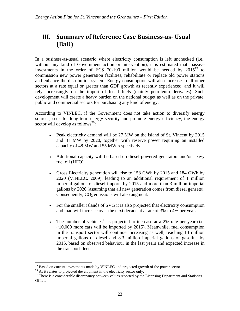## **III. Summary of Reference Case Business‐as‐ Usual (BaU)**

In a business-as-usual scenario where electricity consumption is left unchecked (i.e., without any kind of Government action or intervention), it is estimated that massive investments in the order of EC\$ 70-100 million would be needed by  $2015^{19}$  to commission new power generation facilities, rehabilitate or replace old power stations and enhance the distribution system. Energy consumption will also increase in all other sectors at a rate equal or greater than GDP growth as recently experienced, and it will rely increasingly on the import of fossil fuels (mainly petroleum derivates). Such development will create a heavy burden on the national budget as well as on the private, public and commercial sectors for purchasing any kind of energy.

According to VINLEC, if the Government does not take action to diversify energy sources, seek for long-term energy security and promote energy efficiency, the energy sector will develop as follows<sup>20</sup>:

- Peak electricity demand will be 27 MW on the island of St. Vincent by 2015 and 31 MW by 2020, together with reserve power requiring an installed capacity of 48 MW and 55 MW respectively.
- Additional capacity will be based on diesel-powered generators and/or heavy fuel oil (HFO).
- Gross Electricity generation will rise to 158 GWh by 2015 and 184 GWh by 2020 (VINLEC, 2009), leading to an additional requirement of 1 million imperial gallons of diesel imports by 2015 and more than 3 million imperial gallons by 2020 (assuming that all new generation comes from diesel gensets). Consequently,  $CO<sub>2</sub>$  emissions will also augment.
- For the smaller islands of SVG it is also projected that electricity consumption and load will increase over the next decade at a rate of 3% to 4% per year.
- The number of vehicles<sup>21</sup> is projected to increase at a 2% rate per year (i.e.  $\sim$ 10,000 more cars will be imported by 2015). Meanwhile, fuel consumption in the transport sector will continue increasing as well, reaching 13 million imperial gallons of diesel and 8.3 million imperial gallons of gasoline by 2015, based on observed behaviour in the last years and expected increase in the transport fleet.

<u>.</u>

 $19$  Based on current investments made by VINLEC and projected growth of the power sector

 $20$  As it relates to projected development in the electricity sector only.

<sup>&</sup>lt;sup>21</sup> There is a considerable discrepancy between values reported by the Licensing Department and Statistics Office.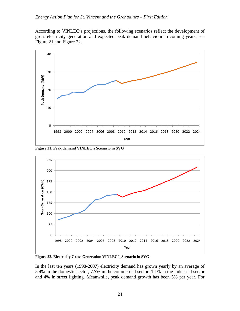According to VINLEC's projections, the following scenarios reflect the development of gross electricity generation and expected peak demand behaviour in coming years, see Figure 21 and Figure 22.



**Figure 21. Peak demand VINLEC's Scenario in SVG** 



**Figure 22. Electricity Gross Generation VINLEC's Scenario in SVG** 

In the last ten years (1998-2007) electricity demand has grown yearly by an average of 5.4% in the domestic sector, 7.7% in the commercial sector, 1.1% in the industrial sector and 4% in street lighting. Meanwhile, peak demand growth has been 5% per year. For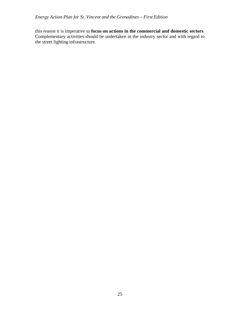this reason it is imperative to **focus on actions in the commercial and domestic sectors**. Complementary activities should be undertaken in the industry sector and with regard to the street lighting infrastructure.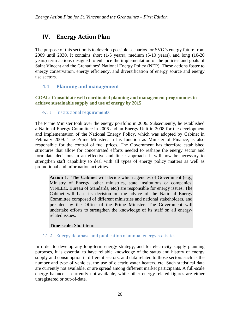## **IV. Energy Action Plan**

The purpose of this section is to develop possible scenarios for SVG's energy future from 2009 until 2030. It contains short (1-5 years), medium (5-10 years), and long (10-20 years) term actions designed to enhance the implementation of the policies and goals of Saint Vincent and the Grenadines' National Energy Policy (NEP). These actions foster to energy conservation, energy efficiency, and diversification of energy source and energy use sectors.

## **4.1 Planning and management**

**GOAL: Consolidate well coordinated planning and management programmes to achieve sustainable supply and use of energy by 2015** 

## 4.1.1 Institutional requirements

The Prime Minister took over the energy portfolio in 2006. Subsequently, he established a National Energy Committee in 2006 and an Energy Unit in 2008 for the development and implementation of the National Energy Policy, which was adopted by Cabinet in February 2009. The Prime Minister, in his function as Minister of Finance, is also responsible for the control of fuel prices. The Government has therefore established structures that allow for concentrated efforts needed to reshape the energy sector and formulate decisions in an effective and linear approach. It will now be necessary to strengthen staff capability to deal with all types of energy policy matters as well as promotional and information activities.

**Action 1**: **The Cabinet** will decide which agencies of Government (e.g., Ministry of Energy, other ministries, state institutions or companies, VINLEC, Bureau of Standards, etc.) are responsible for energy issues. The Cabinet will base its decision on the advice of the National Energy Committee composed of different ministries and national stakeholders, and presided by the Office of the Prime Minister. The Government will undertake efforts to strengthen the knowledge of its staff on all energyrelated issues.

**Time-scale:** Short-term

## 4.1.2 Energy database and publication of annual energy statistics

In order to develop any long-term energy strategy, and for electricity supply planning purposes, it is essential to have reliable knowledge of the status and history of energy supply and consumption in different sectors, and data related to those sectors such as the number and type of vehicles, the use of electric water heaters, etc. Such statistical data are currently not available, or are spread among different market participants. A full-scale energy balance is currently not available, while other energy-related figures are either unregistered or out-of-date.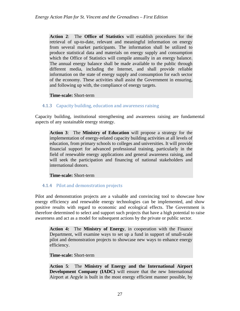**Action 2**: The **Office of Statistics** will establish procedures for the retrieval of up-to-date, relevant and meaningful information on energy from several market participants. The information shall be utilized to produce statistical data and materials on energy supply and consumption which the Office of Statistics will compile annually in an energy balance. The annual energy balance shall be made available to the public through different media, including the Internet, and shall provide reliable information on the state of energy supply and consumption for each sector of the economy. These activities shall assist the Government in ensuring, and following up with, the compliance of energy targets.

#### **Time-scale:** Short-term

## 4.1.3 Capacity building, education and awareness raising

Capacity building, institutional strengthening and awareness raising are fundamental aspects of any sustainable energy strategy.

**Action 3**: The **Ministry of Education** will propose a strategy for the implementation of energy-related capacity building activities at all levels of education, from primary schools to colleges and universities. It will provide financial support for advanced professional training, particularly in the field of renewable energy applications and general awareness raising, and will seek the participation and financing of national stakeholders and international donors.

**Time-scale:** Short-term

## 4.1.4 Pilot and demonstration projects

Pilot and demonstration projects are a valuable and convincing tool to showcase how energy efficiency and renewable energy technologies can be implemented, and show positive results with regard to economic and ecological effects. The Government is therefore determined to select and support such projects that have a high potential to raise awareness and act as a model for subsequent actions by the private or public sector.

**Action 4:** The **Ministry of Energy**, in cooperation with the Finance Department, will examine ways to set up a fund in support of small-scale pilot and demonstration projects to showcase new ways to enhance energy efficiency.

#### **Time-scale:** Short-term

**Action 5**: The **Ministry of Energy and the International Airport Development Company (IADC)** will ensure that the new International Airport at Argyle is built in the most energy efficient manner possible, by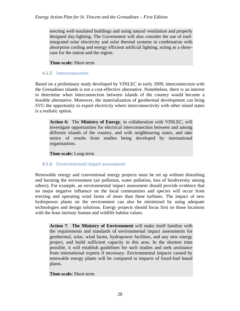erecting well-insulated buildings and using natural ventilation and properly designed day-lighting. The Government will also consider the use of roofintegrated solar electricity and solar thermal systems in combination with absorption cooling and energy efficient artificial lighting, acting as a showcase for the nation and the region.

**Time-scale:** Short-term

#### 4.1.5 Interconnection

Based on a preliminary study developed by VINLEC in early 2009, interconnection with the Grenadines islands is not a cost-effective alternative. Nonetheless, there is an interest to determine when interconnection between islands of the country would become a feasible alternative. Moreover, the materialization of geothermal development can bring SVG the opportunity to export electricity where interconnectivity with other island states is a realistic option.

**Action 6:** The **Ministry of Energy**, in collaboration with VINLEC, will investigate opportunities for electrical interconnection between and among different islands of the country, and with neighbouring states, and take notice of results from studies being developed by international organisations.

**Time-scale:** Long-term

## 4.1.6 Environmental impact assessment

Renewable energy and conventional energy projects must be set up without disturbing and harming the environment (air pollution, water pollution, loss of biodiversity among others). For example, an environmental impact assessment should provide evidence that no major negative influence on the local communities and species will occur from erecting and operating wind farms of more than three turbines. The impact of new hydropower plants on the environment can also be minimized by using adequate technologies and design solutions. Energy projects should focus first on those locations with the least intrinsic human and wildlife habitat values.

**Action 7**: **The Ministry of Environment** will make itself familiar with the requirements and standards of environmental impact assessments for geothermal, solar, wind farms, hydropower facilities, and any new energy project, and build sufficient capacity in this area. In the shortest time possible, it will establish guidelines for such studies and seek assistance from international experts if necessary. Environmental impacts caused by renewable energy plants will be compared to impacts of fossil-fuel based plants.

#### **Time-scale:** Short-term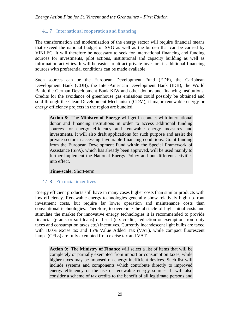## 4.1.7 International cooperation and financing

The transformation and modernization of the energy sector will require financial means that exceed the national budget of SVG as well as the burden that can be carried by VINLEC. It will therefore be necessary to seek for international financing and funding sources for investments, pilot actions, institutional and capacity building as well as information activities. It will be easier to attract private investors if additional financing sources with preferential conditions can be made available.

Such sources can be the European Development Fund (EDF), the Caribbean Development Bank (CDB), the Inter-American Development Bank (IDB), the World Bank, the German Development Bank KfW and other donors and financing institutions. Credits for the avoidance of greenhouse gas emissions could possibly be obtained and sold through the Clean Development Mechanism (CDM), if major renewable energy or energy efficiency projects in the region are bundled.

**Action 8**: The **Ministry of Energy** will get in contact with international donor and financing institutions in order to access additional funding sources for energy efficiency and renewable energy measures and investments. It will also draft applications for such purpose and assist the private sector in accessing favourable financing conditions. Grant funding from the European Development Fund within the Special Framework of Assistance (SFA), which has already been approved, will be used mainly to further implement the National Energy Policy and put different activities into effect.

#### **Time-scale:** Short-term

## 4.1.8 Financial incentives

Energy efficient products still have in many cases higher costs than similar products with low efficiency. Renewable energy technologies generally show relatively high up-front investment costs, but require far lower operation and maintenance costs than conventional technologies. Therefore, to overcome the obstacle of high initial costs and stimulate the market for innovative energy technologies it is recommended to provide financial (grants or soft-loans) or fiscal (tax credits, reduction or exemption from duty taxes and consumption taxes etc.) incentives. Currently incandescent light bulbs are taxed with 100% excise tax and 15% Value Added Tax (VAT), while compact fluorescent lamps (CFLs) are fully exempted from excise tax and VAT.

**Action 9**: The **Ministry of Finance** will select a list of items that will be completely or partially exempted from import or consumption taxes, while higher taxes may be imposed on energy inefficient devices. Such list will include systems and components which contribute directly to improved energy efficiency or the use of renewable energy sources. It will also consider a scheme of tax credits to the benefit of all legitimate persons and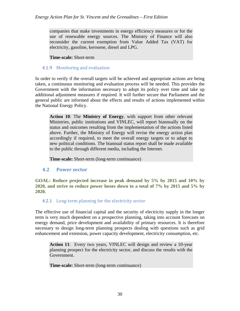companies that make investments in energy efficiency measures or for the use of renewable energy sources. The Ministry of Finance will also reconsider the current exemption from Value Added Tax (VAT) for electricity, gasoline, kerosene, diesel and LPG.

**Time-scale:** Short-term

### 4.1.9 Monitoring and evaluation

In order to verify if the overall targets will be achieved and appropriate actions are being taken, a continuous monitoring and evaluation process will be needed. This provides the Government with the information necessary to adopt its policy over time and take up additional adjustment measures if required. It will further secure that Parliament and the general public are informed about the effects and results of actions implemented within the National Energy Policy.

**Action 10**: The **Ministry of Energy**, with support from other relevant Ministries, public institutions and VINLEC, will report biannually on the status and outcomes resulting from the implementation of the actions listed above. Further, the Ministry of Energy will revise the energy action plan accordingly if required, to meet the overall energy targets or to adapt to new political conditions. The biannual status report shall be made available to the public through different media, including the Internet.

**Time**-**scale:** Short-term (long-term continuance)

## **4.2 Power sector**

**GOAL: Reduce projected increase in peak demand by 5% by 2015 and 10% by 2020, and strive to reduce power losses down to a total of 7% by 2015 and 5% by 2020.** 

## 4.2.1 Long-term planning for the electricity sector

The effective use of financial capital and the security of electricity supply in the longer term is very much dependent on a prospective planning, taking into account forecasts on energy demand, price development and availability of primary resources. It is therefore necessary to design long-term planning prospects dealing with questions such as grid enhancement and extension, power capacity development, electricity consumption, etc.

**Action 11**: Every two years, VINLEC will design and review a 10-year planning prospect for the electricity sector, and discuss the results with the Government.

**Time-scale:** Short-term (long-term continuance)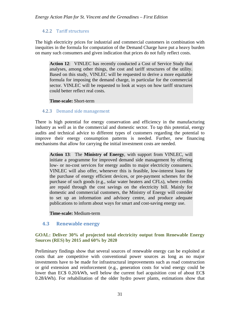## 4.2.2 Tariff structures

The high electricity prices for industrial and commercial customers in combination with inequities in the formula for computation of the Demand Charge have put a heavy burden on many such consumers and given indication that prices do not fully reflect costs.

**Action 12**: VINLEC has recently conducted a Cost of Service Study that analyses, among other things, the cost and tariff structures of the utility. Based on this study, VINLEC will be requested to derive a more equitable formula for imposing the demand charge, in particular for the commercial sector. VINLEC will be requested to look at ways on how tariff structures could better reflect real costs.

#### **Time-scale:** Short-term

## 4.2.3 Demand side management

There is high potential for energy conservation and efficiency in the manufacturing industry as well as in the commercial and domestic sector. To tap this potential, energy audits and technical advice to different types of customers regarding the potential to improve their energy consumption patterns is needed. Further, new financing mechanisms that allow for carrying the initial investment costs are needed.

**Action 13**: The **Ministry of Energy**, with support from VINLEC, will initiate a programme for improved demand side management by offering low- or no-cost services for energy audits to major electricity consumers. VINLEC will also offer, whenever this is feasible, low-interest loans for the purchase of energy efficient devices, or pre-payment schemes for the purchase of such goods (e.g., solar water heaters and CFLs), where credits are repaid through the cost savings on the electricity bill. Mainly for domestic and commercial customers, the Ministry of Energy will consider to set up an information and advisory centre, and produce adequate publications to inform about ways for smart and cost-saving energy use.

**Time-scale:** Medium-term

## **4.3 Renewable energy**

## **GOAL: Deliver 30% of projected total electricity output from Renewable Energy Sources (RES) by 2015 and 60% by 2020**

Preliminary findings show that several sources of renewable energy can be exploited at costs that are competitive with conventional power sources as long as no major investments have to be made for infrastructural improvements such as road construction or grid extension and reinforcement (e.g., generation costs for wind energy could be lower than EC\$ 0.20/kWh, well below the current fuel acquisition cost of about EC\$ 0.28/kWh). For rehabilitation of the older hydro power plants, estimations show that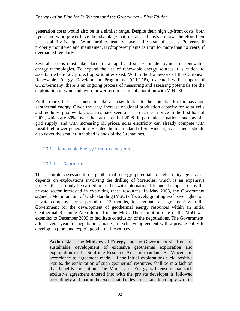#### *Energy Action Plan for St. Vincent and the Grenadines – First Edition*

generation costs would also be in a similar range. Despite their high up-front costs, both hydro and wind power have the advantage that operational costs are low; therefore their price stability is high. Wind turbines usually have a life span of at least 20 years if properly monitored and maintained. Hydropower plants can run for more than 40 years, if overhauled regularly.

Several actions must take place for a rapid and successful deployment of renewable energy technologies. To expand the use of renewable energy sources it is critical to ascertain where key project opportunities exist. Within the framework of the Caribbean Renewable Energy Development Programme (CREDP), executed with support of GTZ/Germany, there is an ongoing process of measuring and assessing potentials for the exploitation of wind and hydro power resources in collaboration with VINLEC.

Furthermore, there is a need to take a closer look into the potential for biomass and geothermal energy. Given the large increase of global production capacity for solar cells and modules, photovoltaic systems have seen a sharp decline in price in the first half of 2009, which are 30% lower than at the end of 2008. In particular situations, such as offgrid supply, and with increasing oil prices, solar electricity can already compete with fossil fuel power generation. Besides the main island of St. Vincent, assessments should also cover the smaller inhabited islands of the Grenadines.

## 4.3.1 Renewable Energy Resource potentials

## 4.3.1.1 Geothermal

The accurate assessment of geothermal energy potential for electricity generation depends on explorations involving the drilling of boreholes, which is an expensive process that can only be carried out either with international financial support, or by the private sector interested in exploiting these resources. In May 2008, the Government signed a Memorandum of Understanding (MoU) effectively granting exclusive rights to a private company, for a period of 12 months, to negotiate an agreement with the Government for the development of geothermal energy resources within an initial Geothermal Resource Area defined in the MoU. The expiration date of the MoU was extended to December 2009 to facilitate conclusion of the negotiations. The Government, after several years of negotiation, made an exclusive agreement with a private entity to develop, explore and exploit geothermal resources.

**Action 14**: The **Ministry of Energy** and the Government shall ensure sustainable development of exclusive geothermal exploration and exploitation in the Soufriere Resource Area on mainland St. Vincent, in accordance to agreement made. If the initial explorations yield positive results, the exploitation of such geothermal resources shall be in a fashion that benefits the nation. The Ministry of Energy will ensure that such exclusive agreement entered into with the private developer is followed accordingly and that in the event that the developer fails to comply with its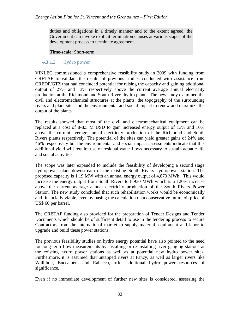duties and obligations in a timely manner and to the extent agreed, the Government can invoke explicit termination clauses at various stages of the development process to terminate agreement.

#### **Time-scale:** Short-term

#### 4.3.1.2 Hydro power

VINLEC commissioned a comprehensive feasibility study in 2009 with funding from CRETAF to validate the results of previous studies conducted with assistance from CREDP/GTZ that had concluded potential for raising the capacity and gaining additional output of 27% and 13% respectively above the current average annual electricity production at the Richmond and South Rivers hydro plants. The new study examined the civil and electromechanical structures at the plants, the topography of the surrounding rivers and plant sites and the environmental and social impact to renew and maximize the output of the plants.

The results showed that most of the civil and electromechanical equipment can be replaced at a cost of 8-8.5 M USD to gain increased energy output of 13% and 10% above the current average annual electricity production of the Richmond and South Rivers plants respectively. The potential of the sites can yield greater gains of 24% and 46% respectively but the environmental and social impact assessments indicate that this additional yield will require use of residual water flows necessary to sustain aquatic life and social activities.

The scope was later expanded to include the feasibility of developing a second stage hydropower plant downstream of the existing South Rivers hydropower station. The proposed capacity is 1.19 MW with an annual energy output of 4,870 MWh. This would increase the energy output from South Rivers to 8,930 MWh which is a 120% increase above the current average annual electricity production of the South Rivers Power Station. The new study concluded that such rehabilitation works would be economically and financially viable, even by basing the calculation on a conservative future oil price of US\$ 60 per barrel.

The CRETAF funding also provided for the preparation of Tender Designs and Tender Documents which should be of sufficient detail to use in the tendering process to secure Contractors from the international market to supply material, equipment and labor to upgrade and build these power stations.

The previous feasibility studies on hydro energy potential have also pointed to the need for long-term flow measurements by installing or re-installing river gauging stations at the existing hydro power stations as well as at potential new hydro power sites. Furthermore, it is assumed that untapped rivers at Fancy, as well as larger rivers like Wallibou, Buccament and Rabacca, offer additional hydro power resources of significance.

Even if no immediate development of further new sites is considered, assessing the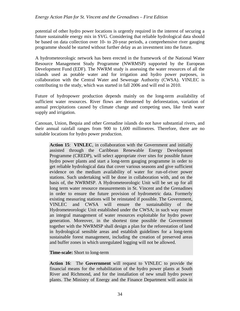potential of other hydro power locations is urgently required in the interest of securing a future sustainable energy mix in SVG. Considering that reliable hydrological data should be based on data collection over 10- to 20-year periods, a comprehensive river gauging programme should be started without further delay as an investment into the future.

A hydrometeorologic network has been erected in the framework of the National Water Resource Management Study Programme (NWRMSP) supported by the European Development Fund (EDF). The NWRM study is assessing the water resources of all the islands used as potable water and for irrigation and hydro power purposes, in collaboration with the Central Water and Sewerage Authority (CWSA). VINLEC is contributing to the study, which was started in fall 2006 and will end in 2010.

Future of hydropower production depends mainly on the long-term availability of sufficient water resources. River flows are threatened by deforestation, variation of annual precipitations caused by climate change and competing uses, like fresh water supply and irrigation.

Canouan, Union, Bequia and other Grenadine islands do not have substantial rivers, and their annual rainfall ranges from 900 to 1,600 millimetres. Therefore, there are no suitable locations for hydro power production.

**Action 15**: **VINLEC**, in collaboration with the Government and initially assisted through the Caribbean Renewable Energy Development Programme (CREDP), will select appropriate river sites for possible future hydro power plants and start a long-term gauging programme in order to get reliable hydrological data that cover various seasons and give sufficient evidence on the medium availability of water for run-of-river power stations. Such undertaking will be done in collaboration with, and on the basis of, the NWRMSP. A Hydrometeorologic Unit will be set up for all long term water resource measurements in St. Vincent and the Grenadines in order to ensure the future provision of hydrometric data. Formerly existing measuring stations will be reinstated if possible. The Government, VINLEC and CWSA will ensure the sustainability of the Hydrometeorologic Unit established under the CWSA; in such way ensure an integral management of water resources exploitable for hydro power generation. Moreover, in the shortest time possible the Government together with the NWRMSP shall design a plan for the reforestation of land in hydrological sensible areas and establish guidelines for a long-term sustainable forest management, including the creation of preserved areas and buffer zones in which unregulated logging will not be allowed.

**Time-scale:** Short to long-term

**Action 16**: The **Government** will request to VINLEC to provide the financial means for the rehabilitation of the hydro power plants at South River and Richmond, and for the installation of new small hydro power plants. The Ministry of Energy and the Finance Department will assist in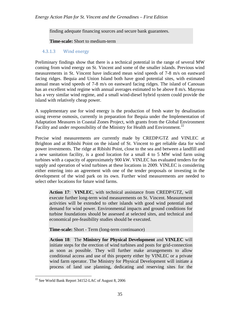finding adequate financing sources and secure bank guarantees.

**Time-scale:** Short to medium-term

### 4.3.1.3 Wind energy

Preliminary findings show that there is a technical potential in the range of several MW coming from wind energy on St. Vincent and some of the smaller islands. Previous wind measurements in St. Vincent have indicated mean wind speeds of 7-8 m/s on eastward facing ridges. Bequia and Union Island both have good potential sites, with estimated annual mean wind speeds of 7-8 m/s on eastward facing ridges. The island of Canouan has an excellent wind regime with annual averages estimated to be above 8 m/s. Mayreau has a very similar wind regime, and a small wind-diesel hybrid system could provide the island with relatively cheap power.

A supplementary use for wind energy is the production of fresh water by desalination using reverse osmosis, currently in preparation for Bequia under the Implementation of Adaptation Measures in Coastal Zones Project, with grants from the Global Environment Facility and under responsibility of the Ministry for Health and Environment.<sup>22</sup>

Precise wind measurements are currently made by CREDP/GTZ and VINLEC at Brighton and at Ribishi Point on the island of St. Vincent to get reliable data for wind power investments. The ridge at Ribishi Point, close to the sea and between a landfill and a new sanitation facility, is a good location for a small 4 to 5 MW wind farm using turbines with a capacity of approximately 900 kW. VINLEC has evaluated tenders for the supply and operation of wind turbines at these locations in 2009. VINLEC is considering either entering into an agreement with one of the tender proposals or investing in the development of the wind park on its own. Further wind measurements are needed to select other locations for future wind farms.

**Action 17**: **VINLEC**, with technical assistance from CREDP/GTZ, will execute further long-term wind measurements on St. Vincent. Measurement activities will be extended to other islands with good wind potential and demand for wind power. Environmental impacts and ground conditions for turbine foundations should be assessed at selected sites, and technical and economical pre-feasibility studies should be executed.

**Time-scale:** Short - Term (long-term continuance)

**Action 18**: The **Ministry for Physical Development** and **VINLEC** will initiate steps for the erection of wind turbines and posts for grid-connection as soon as possible. They will further make arrangements to allow conditional access and use of this property either by VINLEC or a private wind farm operator. The Ministry for Physical Development will initiate a process of land use planning, dedicating and reserving sites for the

 $\overline{a}$ 

<sup>22</sup> See World Bank Report 34152-LAC of August 8, 2006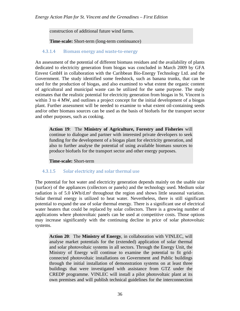construction of additional future wind farms.

**Time**-**scale:** Short-term (long-term continuance)

### 4.3.1.4 Biomass energy and waste-to-energy

An assessment of the potential of different biomass residues and the availability of plants dedicated to electricity generation from biogas was concluded in March 2009 by GFA Envest GmbH in collaboration with the Caribbean Bio-Energy Technology Ltd. and the Government. The study identified some feedstock, such as banana trunks, that can be used for the production of biogas, and also examined to what extent the organic content of agricultural and municipal waste can be utilized for the same purpose. The study estimates that the realistic potential for electricity generation from biogas in St. Vincent is within 3 to 4 MW, and outlines a project concept for the initial development of a biogas plant. Further assessment will be needed to examine to what extent oil-containing seeds and/or other biomass sources can be used as the basis of biofuels for the transport sector and other purposes, such as cooking.

**Action 19**: The **Ministry of Agriculture, Forestry and Fisheries** will continue to dialogue and partner with interested private developers to seek funding for the development of a biogas plant for electricity generation, and also to further analyse the potential of using available biomass sources to produce biofuels for the transport sector and other energy purposes.

**Time-scale:** Short-term

## 4.3.1.5 Solar electricity and solar thermal use

The potential for hot water and electricity generation depends mainly on the usable size (surface) of the appliances (collectors or panels) and the technology used. Medium solar radiation is of 5.0 kWh/d.m<sup>2</sup> throughout the region and shows little seasonal variation. Solar thermal energy is utilized to heat water. Nevertheless, there is still significant potential to expand the use of solar thermal energy. There is a significant use of electrical water heaters that could be replaced by solar collectors. There is a growing number of applications where photovoltaic panels can be used at competitive costs. Those options may increase significantly with the continuing decline in price of solar photovoltaic systems.

**Action 20**: The **Ministry of Energy**, in collaboration with VINLEC, will analyse market potentials for the (extended) application of solar thermal and solar photovoltaic systems in all sectors. Through the Energy Unit, the Ministry of Energy will continue to examine the potential to fit gridconnected photovoltaic installations on Government and Public buildings through the initial installation of demonstration systems on at least three buildings that were investigated with assistance from GTZ under the CREDP programme. VINLEC will install a pilot photovoltaic plant at its own premises and will publish technical guidelines for the interconnection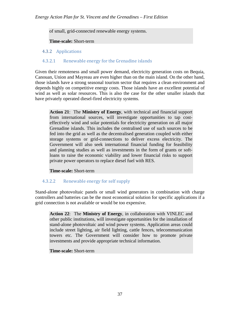of small, grid-connected renewable energy systems.

**Time-scale:** Short-term

## 4.3.2 Applications

## 4.3.2.1 Renewable energy for the Grenadine islands

Given their remoteness and small power demand, electricity generation costs on Bequia, Canouan, Union and Mayreau are even higher than on the main island. On the other hand, those islands have a strong seasonal tourism sector that requires a clean environment and depends highly on competitive energy costs. Those islands have an excellent potential of wind as well as solar resources. This is also the case for the other smaller islands that have privately operated diesel-fired electricity systems.

**Action 21**: The **Ministry of Energy**, with technical and financial support from international sources, will investigate opportunities to tap costeffectively wind and solar potentials for electricity generation on all major Grenadine islands. This includes the centralised use of such sources to be fed into the grid as well as the decentralised generation coupled with either storage systems or grid-connections to deliver excess electricity. The Government will also seek international financial funding for feasibility and planning studies as well as investments in the form of grants or softloans to raise the economic viability and lower financial risks to support private power operators to replace diesel fuel with RES.

**Time-scale:** Short-term

## 4.3.2.2 Renewable energy for self supply

Stand-alone photovoltaic panels or small wind generators in combination with charge controllers and batteries can be the most economical solution for specific applications if a grid connection is not available or would be too expensive.

**Action 22**: The **Ministry of Energy**, in collaboration with VINLEC and other public institutions, will investigate opportunities for the installation of stand-alone photovoltaic and wind power systems. Application areas could include street lighting, air field lighting, cattle fences, telecommunication towers etc. The Government will consider how to promote private investments and provide appropriate technical information.

## **Time-scale:** Short-term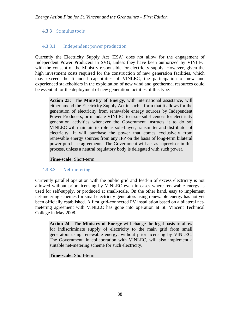## 4.3.3 Stimulus tools

## 4.3.3.1 Independent power production

Currently the Electricity Supply Act (ESA) does not allow for the engagement of Independent Power Producers in SVG, unless they have been authorized by VINLEC with the consent of the Ministry responsible for electricity supply. However, given the high investment costs required for the construction of new generation facilities, which may exceed the financial capabilities of VINLEC, the participation of new and experienced stakeholders in the exploitation of new wind and geothermal resources could be essential for the deployment of new generation facilities of this type.

**Action 23**: The **Ministry of Energy,** with international assistance, will either amend the Electricity Supply Act in such a form that it allows for the generation of electricity from renewable energy sources by Independent Power Producers, or mandate VINLEC to issue sub-licences for electricity generation activities whenever the Government instructs it to do so. VINLEC will maintain its role as sole-buyer, transmitter and distributor of electricity. It will purchase the power that comes exclusively from renewable energy sources from any IPP on the basis of long-term bilateral power purchase agreements. The Government will act as supervisor in this process, unless a neutral regulatory body is delegated with such power.

#### **Time-scale:** Short-term

## 4.3.3.2 Net-metering

Currently parallel operation with the public grid and feed-in of excess electricity is not allowed without prior licensing by VINLEC even in cases where renewable energy is used for self-supply, or produced at small-scale. On the other hand, easy to implement net-metering schemes for small electricity generators using renewable energy has not yet been officially established. A first grid-connected PV installation based on a bilateral netmetering agreement with VINLEC has gone into operation at St. Vincent Technical College in May 2008.

**Action 24**: The **Ministry of Energy** will change the legal basis to allow for indiscriminate supply of electricity to the main grid from small generators using renewable energy, without prior licensing by VINLEC. The Government, in collaboration with VINLEC, will also implement a suitable net-metering scheme for such electricity.

#### **Time-scale:** Short-term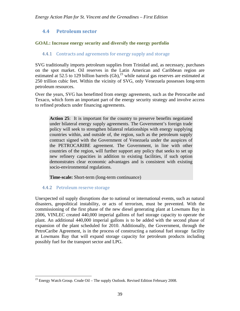## **4.4 Petroleum sector**

## **GOAL: Increase energy security and diversify the energy portfolio**

## 4.4.1 Contracts and agreements for energy supply and storage

SVG traditionally imports petroleum supplies from Trinidad and, as necessary, purchases on the spot market. Oil reserves in the Latin American and Caribbean region are estimated at 52.5 to 129 billion barrels  $(Gb)$ ,<sup>23</sup> while natural gas reserves are estimated at 250 trillion cubic feet. Within the vicinity of SVG, only Venezuela possesses long-term petroleum resources.

Over the years, SVG has benefitted from energy agreements, such as the Petrocaribe and Texaco, which form an important part of the energy security strategy and involve access to refined products under financing agreements.

**Action 25**: It is important for the country to preserve benefits negotiated under bilateral energy supply agreements. The Government's foreign trade policy will seek to strengthen bilateral relationships with energy supplying countries within, and outside of, the region, such as the petroleum supply contract signed with the Government of Venezuela under the auspices of the PETROCARIBE agreement. The Government, in line with other countries of the region, will further support any policy that seeks to set up new refinery capacities in addition to existing facilities, if such option demonstrates clear economic advantages and is consistent with existing socio-environmental regulations.

**Time-scale:** Short-term (long-term continuance)

## 4.4.2 Petroleum reserve storage

 $\overline{a}$ 

Unexpected oil supply disruptions due to national or international events, such as natural disasters, geopolitical instability, or acts of terrorism, must be prevented. With the commissioning of the first phase of the new diesel generating plant at Lowmans Bay in 2006, VINLEC created 440,000 imperial gallons of fuel storage capacity to operate the plant. An additional 440,000 imperial gallons is to be added with the second phase of expansion of the plant scheduled for 2010. Additionally, the Government, through the PetroCaribe Agreement, is in the process of constructing a national fuel storage facility at Lowmans Bay that will expand storage capacity for petroleum products including possibly fuel for the transport sector and LPG.

 $23$  Energy Watch Group. Crude Oil – The supply Outlook. Revised Edition February 2008.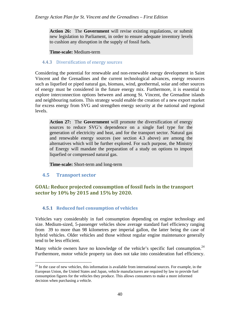**Action 26:** The **Government** will revise existing regulations, or submit new legislation to Parliament, in order to ensure adequate inventory levels to cushion any disruption in the supply of fossil fuels.

**Time-scale:** Medium-term

### 4.4.3 Diversification of energy sources

Considering the potential for renewable and non-renewable energy development in Saint Vincent and the Grenadines and the current technological advances, energy resources such as liquefied or piped natural gas, biomass, wind, geothermal, solar and other sources of energy must be considered in the future energy mix. Furthermore, it is essential to explore interconnection options between and among St. Vincent, the Grenadine islands and neighbouring nations. This strategy would enable the creation of a new export market for excess energy from SVG and strengthen energy security at the national and regional levels.

**Action 27:** The **Government** will promote the diversification of energy sources to reduce SVG's dependence on a single fuel type for the generation of electricity and heat, and for the transport sector. Natural gas and renewable energy sources (see section 4.3 above) are among the alternatives which will be further explored. For such purpose, the Ministry of Energy will mandate the preparation of a study on options to import liquefied or compressed natural gas.

**Time-scale:** Short-term and long-term

## **4.5 Transport sector**

<u>.</u>

## **GOAL: Reduce projected consumption of fossil fuels in the transport sector by 10% by 2015 and 15% by 2020.**

## **4.5.1 Reduced fuel consumption of vehicles**

Vehicles vary considerably in fuel consumption depending on engine technology and size. Medium-sized, 5-passenger vehicles show average standard fuel efficiency ranging from 39 to more than 98 kilometres per imperial gallon, the latter being the case of hybrid vehicles. Older vehicles and those without regular engine maintenance generally tend to be less efficient.

Many vehicle owners have no knowledge of the vehicle's specific fuel consumption.<sup>24</sup> Furthermore, motor vehicle property tax does not take into consideration fuel efficiency.

 $24$  In the case of new vehicles, this information is available from international sources. For example, in the European Union, the United States and Japan, vehicle manufacturers are required by law to provide fuel consumption figures for the vehicles they produce. This allows consumers to make a more informed decision when purchasing a vehicle.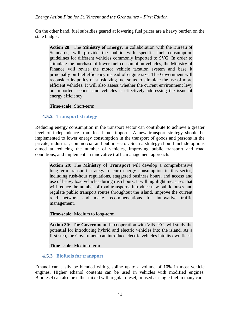On the other hand, fuel subsidies geared at lowering fuel prices are a heavy burden on the state budget.

**Action 28**: The **Ministry of Energy**, in collaboration with the Bureau of Standards, will provide the public with specific fuel consumption guidelines for different vehicles commonly imported to SVG. In order to stimulate the purchase of lower fuel consumption vehicles, the Ministry of Finance will revise the motor vehicle taxation system and base it principally on fuel efficiency instead of engine size. The Government will reconsider its policy of subsidizing fuel so as to stimulate the use of more efficient vehicles. It will also assess whether the current environment levy on imported second-hand vehicles is effectively addressing the issue of energy efficiency.

#### **Time-scale:** Short-term

#### **4.5.2 Transport strategy**

Reducing energy consumption in the transport sector can contribute to achieve a greater level of independence from fossil fuel imports. A new transport strategy should be implemented to lower energy consumption in the transport of goods and persons in the private, industrial, commercial and public sector. Such a strategy should include options aimed at reducing the number of vehicles, improving public transport and road conditions, and implement an innovative traffic management approach.

**Action 29**: The **Ministry of Transport** will develop a comprehensive long-term transport strategy to curb energy consumption in this sector, including rush-hour regulations, staggered business hours, and access and use of heavy load vehicles during rush hours. It will highlight measures that will reduce the number of road transports, introduce new public buses and regulate public transport routes throughout the island, improve the current road network and make recommendations for innovative traffic management.

**Time-scale:** Medium to long-term

**Action 30**: The **Government**, in cooperation with VINLEC, will study the potential for introducing hybrid and electric vehicles into the island. As a first step, the Government can introduce electric vehicles into its own fleet.

**Time**-**scale:** Medium-term

## **4.5.3 Biofuels for transport**

Ethanol can easily be blended with gasoline up to a volume of 10% in most vehicle engines. Higher ethanol contents can be used in vehicles with modified engines. Biodiesel can also be either mixed with regular diesel, or used as single fuel in many cars.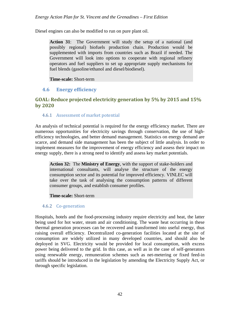Diesel engines can also be modified to run on pure plant oil.

**Action 31**: The Government will study the setup of a national (and possibly regional) biofuels production chain. Production would be supplemented with imports from countries such as Brazil if needed. The Government will look into options to cooperate with regional refinery operators and fuel suppliers to set up appropriate supply mechanisms for fuel blends (gasoline/ethanol and diesel/biodiesel).

#### **Time-scale:** Short-term

## **4.6 Energy efficiency**

## **GOAL: Reduce projected electricity generation by 5% by 2015 and 15% by 2020**

#### 4.6.1 Assessment of market potential

An analysis of technical potential is required for the energy efficiency market. There are numerous opportunities for electricity savings through conservation, the use of highefficiency technologies, and better demand management. Statistics on energy demand are scarce, and demand side management has been the subject of little analysis. In order to implement measures for the improvement of energy efficiency and assess their impact on energy supply, there is a strong need to identify and assess key market potentials.

**Action 32:** The **Ministry of Energy**, with the support of stake-holders and international consultants, will analyse the structure of the energy consumption sector and its potential for improved efficiency. VINLEC will take over the task of analysing the consumption patterns of different consumer groups, and establish consumer profiles.

#### **Time-scale:** Short-term

## 4.6.2 Co-generation

Hospitals, hotels and the food-processing industry require electricity and heat, the latter being used for hot water, steam and air conditioning. The waste heat occurring in these thermal generation processes can be recovered and transformed into useful energy, thus raising overall efficiency. Decentralized co-generation facilities located at the site of consumption are widely utilized in many developed countries, and should also be deployed in SVG. Electricity would be provided for local consumption, with excess power being delivered to the grid. In this case, as well as in the case of self-generators using renewable energy, remuneration schemes such as net-metering or fixed feed-in tariffs should be introduced in the legislation by amending the Electricity Supply Act, or through specific legislation.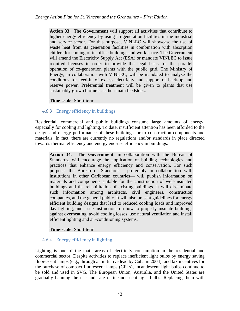**Action 33**: The **Government** will support all activities that contribute to higher energy efficiency by using co-generation facilities in the industrial and service sector. For this purpose, VINLEC will showcase the use of waste heat from its generation facilities in combination with absorption chillers for cooling of its office buildings and work space. The Government will amend the Electricity Supply Act (ESA) or mandate VINLEC to issue required licenses in order to provide the legal basis for the parallel operation of co-generation plants with the public grid. The Ministry of Energy, in collaboration with VINLEC, will be mandated to analyse the conditions for feed-in of excess electricity and support of back-up and reserve power. Preferential treatment will be given to plants that use sustainably grown biofuels as their main feedstock.

#### **Time-scale:** Short-term

## 4.6.3 Energy efficiency in buildings

Residential, commercial and public buildings consume large amounts of energy, especially for cooling and lighting. To date, insufficient attention has been afforded to the design and energy performance of these buildings, or to construction components and materials. In fact, there are currently no regulations and/or standards in place directed towards thermal efficiency and energy end-use efficiency in buildings.

**Action 34**: The **Government**, in collaboration with the Bureau of Standards, will encourage the application of building technologies and practices that enhance energy efficiency and conservation. For such purpose, the Bureau of Standards —preferably in collaboration with institutions in other Caribbean countries— will publish information on materials and components suitable for the construction of well-insulated buildings and the rehabilitation of existing buildings. It will disseminate such information among architects, civil engineers, construction companies, and the general public. It will also present guidelines for energy efficient building designs that lead to reduced cooling loads and improved day lighting, and issue instructions on how to properly insulate buildings against overheating, avoid cooling losses, use natural ventilation and install efficient lighting and air-conditioning systems.

#### **Time-scale:** Short-term

## 4.6.4 Energy efficiency in lighting

Lighting is one of the main areas of electricity consumption in the residential and commercial sector. Despite activities to replace inefficient light bulbs by energy saving fluorescent lamps (e.g., through an initiative lead by Cuba in 2004), and tax incentives for the purchase of compact fluorescent lamps (CFLs), incandescent light bulbs continue to be sold and used in SVG. The European Union, Australia, and the United States are gradually banning the use and sale of incandescent light bulbs. Replacing them with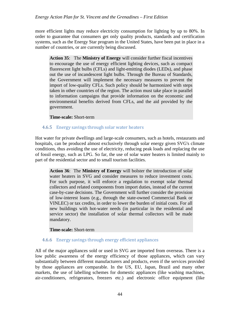more efficient lights may reduce electricity consumption for lighting by up to 80%. In order to guarantee that consumers get only quality products, standards and certification systems, such as the Energy Star program in the United States, have been put in place in a number of countries, or are currently being discussed.

**Action 35**: The **Ministry of Energy** will consider further fiscal incentives to encourage the use of energy efficient lighting devices, such as compact fluorescent light bulbs (CFLs) and light-emitting diodes (LEDs), and phase out the use of incandescent light bulbs. Through the Bureau of Standards, the Government will implement the necessary measures to prevent the import of low-quality CFLs. Such policy should be harmonized with steps taken in other countries of the region. The action must take place in parallel to information campaigns that provide information on the economic and environmental benefits derived from CFLs, and the aid provided by the government.

#### **Time-scale:** Short-term

## 4.6.5 Energy savings through solar water heaters

Hot water for private dwellings and large-scale consumers, such as hotels, restaurants and hospitals, can be produced almost exclusively through solar energy given SVG's climate conditions, thus avoiding the use of electricity, reducing peak loads and replacing the use of fossil energy, such as LPG. So far, the use of solar water heaters is limited mainly to part of the residential sector and to small tourism facilities.

**Action 36**: The **Ministry of Energy** will bolster the introduction of solar water heaters in SVG and consider measures to reduce investment costs. For such purpose, it will enforce a regulation to exempt solar thermal collectors and related components from import duties, instead of the current case-by-case decisions. The Government will further consider the provision of low-interest loans (e.g., through the state-owned Commercial Bank or VINLEC) or tax credits, in order to lower the burden of initial costs. For all new buildings with hot-water needs (in particular in the residential and service sector) the installation of solar thermal collectors will be made mandatory.

#### **Time-scale:** Short-term

## 4.6.6 Energy savings through energy efficient appliances

All of the major appliances sold or used in SVG are imported from overseas. There is a low public awareness of the energy efficiency of those appliances, which can vary substantially between different manufacturers and products, even if the services provided by those appliances are comparable. In the US, EU, Japan, Brazil and many other markets, the use of labelling schemes for domestic appliances (like washing machines, air-conditioners, refrigerators, freezers etc.) and electronic office equipment (like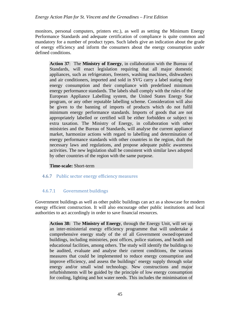monitors, personal computers, printers etc.), as well as setting the Minimum Energy Performance Standards and adequate certification of compliance is quite common and mandatory for a number of product types. Such labels give an indication about the grade of energy efficiency and inform the consumers about the energy consumption under defined conditions.

**Action 37**: The **Ministry of Energy**, in collaboration with the Bureau of Standards, will enact legislation requiring that all major domestic appliances, such as refrigerators, freezers, washing machines, dishwashers and air conditioners, imported and sold in SVG carry a label stating their energy consumption and their compliance with predefined minimum energy performance standards. The labels shall comply with the rules of the European Appliance Labelling system, the United States Energy Star program, or any other reputable labelling scheme. Consideration will also be given to the banning of imports of products which do not fulfil minimum energy performance standards. Imports of goods that are not appropriately labelled or certified will be either forbidden or subject to extra taxation. The Ministry of Energy, in collaboration with other ministries and the Bureau of Standards, will analyse the current appliance market, harmonize actions with regard to labelling and determination of energy performance standards with other countries in the region, draft the necessary laws and regulations, and propose adequate public awareness activities. The new legislation shall be consistent with similar laws adopted by other countries of the region with the same purpose.

## **Time-scale:** Short-term

## 4.6.7 Public sector energy efficiency measures

## 4.6.7.1 Government buildings

Government buildings as well as other public buildings can act as a showcase for modern energy efficient construction. It will also encourage other public institutions and local authorities to act accordingly in order to save financial resources.

**Action 38:** The **Ministry of Energy**, through the Energy Unit, will set up an inter-ministerial energy efficiency programme that will undertake a comprehensive energy study of the of all Government owned/operated buildings, including ministries, post offices, police stations, and health and educational facilities, among others. The study will identify the buildings to be audited, evaluate and analyse their current conditions, the various measures that could be implemented to reduce energy consumption and improve efficiency, and assess the buildings' energy supply through solar energy and/or small wind technology. New constructions and major refurbishments will be guided by the principle of low energy consumption for cooling, lighting and hot water needs. This includes the minimisation of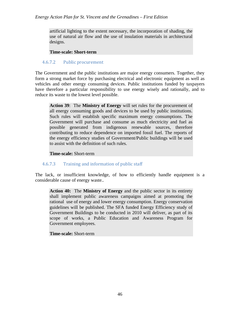artificial lighting to the extent necessary, the incorporation of shading, the use of natural air flow and the use of insulation materials in architectural designs.

#### **Time-scale: Short-term**

## 4.6.7.2 Public procurement

The Government and the public institutions are major energy consumers. Together, they form a strong market force by purchasing electrical and electronic equipment as well as vehicles and other energy consuming devices. Public institutions funded by taxpayers have therefore a particular responsibility to use energy wisely and rationally, and to reduce its waste to the lowest level possible.

**Action 39**: The **Ministry of Energy** will set rules for the procurement of all energy consuming goods and devices to be used by public institutions. Such rules will establish specific maximum energy consumptions. The Government will purchase and consume as much electricity and fuel as possible generated from indigenous renewable sources, therefore contributing to reduce dependence on imported fossil fuel. The reports of the energy efficiency studies of Government/Public buildings will be used to assist with the definition of such rules.

#### **Time-scale:** Short-term

## 4.6.7.3 Training and information of public staff

The lack, or insufficient knowledge, of how to efficiently handle equipment is a considerable cause of energy waste..

**Action 40:** The **Ministry of Energy** and the public sector in its entirety shall implement public awareness campaigns aimed at promoting the rational use of energy and lower energy consumption. Energy conservation guidelines will be published. The SFA funded Energy Efficiency study of Government Buildings to be conducted in 2010 will deliver, as part of its scope of works, a Public Education and Awareness Program for Government employees.

## **Time-scale:** Short-term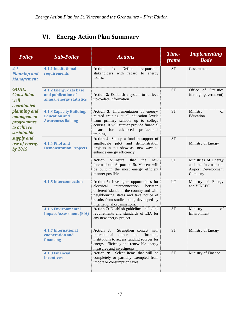# **VI. Energy Action Plan Summary**

| <b>Policy</b>                                                                | <b>Sub-Policy</b>                                                            | <b>Actions</b>                                                                                                                                                                                                                                        | Time-<br>frame | <b>Implementing</b><br><b>Body</b>                                              |
|------------------------------------------------------------------------------|------------------------------------------------------------------------------|-------------------------------------------------------------------------------------------------------------------------------------------------------------------------------------------------------------------------------------------------------|----------------|---------------------------------------------------------------------------------|
| 4.1<br><b>Planning and</b><br><b>Management</b>                              | <b>4.1.1 Institutional</b><br>requirements                                   | Define<br><b>Action</b><br>1:<br>responsible<br>stakeholders with regard to energy<br>issues.                                                                                                                                                         | <b>ST</b>      | Government                                                                      |
| <b>GOAL:</b><br><b>Consolidate</b><br>well<br>coordinated                    | 4.1.2 Energy data base<br>and publication of<br>annual energy statistics     | Action 2: Establish a system to retrieve<br>up-to-date information                                                                                                                                                                                    | <b>ST</b>      | Office of Statistics<br>(through government)                                    |
| planning and<br>management<br><i>programmes</i><br>to achieve<br>sustainable | 4.1.3 Capacity Building,<br><b>Education and</b><br><b>Awareness Raising</b> | Action 3: Implementation of energy-<br>related training at all education levels<br>from primary schools up to college<br>courses. It will further provide financial<br>for<br>advanced professional<br>means<br>training.                             | <b>ST</b>      | Ministry<br>of<br>Education                                                     |
| supply and<br>use of energy<br>by 2015                                       | 4.1.4 Pilot and<br><b>Demonstration Projects</b>                             | Action 4: Set up a fund in support of<br>small-scale pilot and demonstration<br>projects in that showcase new ways to<br>enhance energy efficiency.                                                                                                   | <b>ST</b>      | Ministry of Energy                                                              |
|                                                                              |                                                                              | 5: Ensure<br><b>Action</b><br>that<br>the<br>new<br>International Airport on St. Vincent will<br>be built in the most energy efficient<br>manner possible                                                                                             | <b>ST</b>      | Ministries of Energy<br>and the International<br>Airport Development<br>Company |
|                                                                              | <b>4.1.5 Interconnection</b>                                                 | Action 6: Investigate opportunities for<br>interconnection<br>electrical<br>between<br>different islands of the country and with<br>neighbouring states and take notice of<br>results from studies being developed by<br>international organisations. | <b>LT</b>      | Ministry of Energy<br>and VINLEC                                                |
|                                                                              | <b>4.1.6 Environmental</b><br><b>Impact Assessment (EIA)</b>                 | Action 7: Establish guidelines including<br>requirements and standards of EIA for<br>any new energy project                                                                                                                                           | <b>ST</b>      | of<br>Ministry<br>Environment                                                   |
|                                                                              | <b>4.1.7 International</b><br>cooperation and<br>financing                   | Action 8:<br>Strengthen contact with<br>donor<br>and<br>international<br>financing<br>institutions to access funding sources for<br>energy efficiency and renewable energy<br>measures and investments.                                               | <b>ST</b>      | Ministry of Energy                                                              |
|                                                                              | <b>4.1.8 Financial</b><br>incentives                                         | Select items that will be<br>Action 9:<br>completely or partially exempted from<br>import or consumption taxes                                                                                                                                        | <b>ST</b>      | Ministry of Finance                                                             |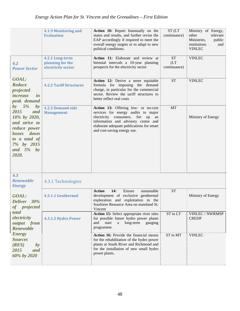|                                                                                                                                                       | <b>4.1.9 Monitoring and</b><br><b>Evaluation</b>          | Action 10: Report biannually on the<br>status and results, and further revise the<br>EAP accordingly if required to meet the<br>overall energy targets or to adapt to new<br>political conditions.                                | ST <sub>(LT</sub><br>continuance) | Ministry of Energy,<br>other<br>relevant<br>Ministries,<br>public<br>institutions<br>and<br><b>VINLEC</b> |
|-------------------------------------------------------------------------------------------------------------------------------------------------------|-----------------------------------------------------------|-----------------------------------------------------------------------------------------------------------------------------------------------------------------------------------------------------------------------------------|-----------------------------------|-----------------------------------------------------------------------------------------------------------|
| 4.2<br><b>Power Sector</b>                                                                                                                            | 4.2.1 Long-term<br>planning for the<br>electricity sector | Action 11: Elaborate and review at<br>biennial intervals a 10-year planning<br>prospects for the electricity sector                                                                                                               | <b>ST</b><br>(LT)<br>continuance) | <b>VINLEC</b>                                                                                             |
| <b>GOAL:</b><br><b>Reduce</b><br>projected<br><i>increase</i><br>$\mathbf{i}$ n<br>peak demand                                                        | <b>4.2.2 Tariff Structures</b>                            | Action 12: Derive a more equitable<br>formula for imposing the demand<br>charge, in particular for the commercial<br>sector. Review the tariff structures to<br>better reflect real costs                                         | <b>ST</b>                         | <b>VINLEC</b>                                                                                             |
| by $5\%$<br>by<br>2015<br>and<br>10% by 2020,<br>and strive to<br>reduce power<br>losses down<br>to a total of<br>7% by 2015<br>and $5\%$ by<br>2020. | <b>4.2.3 Demand side</b><br><b>Management</b>             | Action 13: Offering low- or no-cost<br>services for energy audits to major<br>electricity consumers. Set up an<br>information and advisory centre and<br>elaborate adequate publications for smart<br>and cost-saving energy use. | MT                                | Ministry of Energy                                                                                        |
| 4.3<br><b>Renewable</b><br><b>Energy</b>                                                                                                              | 4.3.1 Technologies                                        |                                                                                                                                                                                                                                   |                                   |                                                                                                           |
| <b>GOAL:</b><br>Deliver 30%<br>of projected<br>total                                                                                                  | 4.3.1.1 Geothermal                                        | Ensure<br><b>Action</b><br>14:<br>sustainable<br>development of exclusive geothermal<br>exploration and exploitation in the<br>Soufriere Resource Area on mainland St.<br>Vincent                                                 | <b>ST</b>                         | Ministry of Energy                                                                                        |
| electricity<br>output from<br><b>Renewable</b>                                                                                                        | 4.3.1.2 Hydro Power                                       | Action 15: Select appropriate river sites<br>for possible future hydro power plants<br>and<br>start<br>long-term<br>a<br>gauging<br>programme.                                                                                    | ST to LT                          | VINLEC / NWRMSP<br><b>CREDP</b>                                                                           |
| <b>Energy</b><br><b>Sources</b><br>(RES)<br>by<br>2015<br>and<br>60% by 2020                                                                          |                                                           | Action 16: Provide the financial means<br>for the rehabilitation of the hydro power<br>plants at South River and Richmond and<br>for the installation of new small hydro<br>power plants.                                         | ST to MT                          | <b>VINLEC</b>                                                                                             |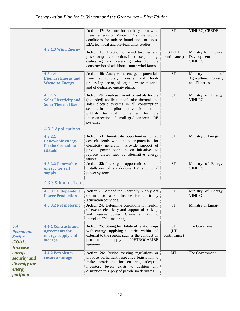|                                                                             |                                                                              | Action 17: Execute further long-term wind<br>measurements on Vincent. Examine ground<br>conditions for turbine foundations to assess<br>EIA, technical and pre-feasibility studies.                                                                                                                    | <b>ST</b>                         | VINLEC, CREDP                                                |
|-----------------------------------------------------------------------------|------------------------------------------------------------------------------|--------------------------------------------------------------------------------------------------------------------------------------------------------------------------------------------------------------------------------------------------------------------------------------------------------|-----------------------------------|--------------------------------------------------------------|
|                                                                             | 4.3.1.3 Wind Energy                                                          | Action 18: Erection of wind turbines and<br>posts for grid-connection. Land use planning,<br>dedicating and reserving sites for the<br>construction of additional future wind farms.                                                                                                                   | ST <sub>(LT</sub><br>continuance) | Ministry for Physical<br>Development<br>and<br><b>VINLEC</b> |
|                                                                             | 4.3.1.4<br><b>Biomass Energy and</b><br><b>Waste-to-Energy</b>               | Action 19: Analyse the energetic potentials<br>from agricultural, forestry and food-<br>processing sector, of organic waste material<br>and of dedicated energy plants.                                                                                                                                | <b>ST</b>                         | Ministry<br>of<br>Agriculture, Forestry<br>and Fisheries     |
|                                                                             | 4.3.1.5<br><b>Solar Electricity and</b><br><b>Solar Thermal Use</b>          | Action 20: Analyse market potentials for the<br>(extended) application of solar thermal and<br>solar electric systems in all consumption<br>sectors. Install a pilot photovoltaic plant and<br>technical guidelines<br>for<br>publish<br>the<br>interconnection of small grid-connected RE<br>systems. | <b>ST</b>                         | Ministry of Energy,<br><b>VINLEC</b>                         |
|                                                                             | 4.3.2 Applications                                                           |                                                                                                                                                                                                                                                                                                        |                                   |                                                              |
|                                                                             | 4.3.2.1<br><b>Renewable energy</b><br>for the Grenadine<br>islands           | Action 21: Investigate opportunities to tap<br>cost-efficiently wind and solar potentials for<br>electricity generation. Provide support of<br>private power operators on initiatives to<br>replace diesel fuel by alternative energy<br>sources.                                                      | <b>ST</b>                         | Ministry of Energy                                           |
|                                                                             | 4.3.2.2 Renewable<br>energy for self<br>supply                               | Action 22: Investigate opportunities for the<br>installation of stand-alone PV and wind<br>power systems.                                                                                                                                                                                              | <b>ST</b>                         | Ministry of Energy,<br><b>VINLEC</b>                         |
|                                                                             | <b>4.3.3 Stimulus Tools</b>                                                  |                                                                                                                                                                                                                                                                                                        |                                   |                                                              |
|                                                                             | 4.3.3.1 Independent<br><b>Power Production</b>                               | Action 23: Amend the Electricity Supply Act<br>or mandate a sub-licence for electricity<br>generation activities.                                                                                                                                                                                      | <b>ST</b>                         | Ministry of Energy,<br><b>VINLEC</b>                         |
|                                                                             | 4.3.3.2 Net metering                                                         | Action 24: Determine conditions for feed-in<br>of excess electricity and support of back-up<br>and reserve power. Create an Act to<br>introduce "Net-metering"                                                                                                                                         | <b>ST</b>                         | Ministry of Energy                                           |
| 4.4<br><b>Petroleum</b><br><b>Sector</b><br><b>GOAL:</b><br><b>Increase</b> | <b>4.4.1 Contracts and</b><br>agreements for<br>energy supply and<br>storage | Action 25: Strengthen bilateral relationships<br>with energy supplying countries within and<br>external to the region, such as the contract on<br>"PETROCARIBE<br>petroleum<br>supply<br>agreement".                                                                                                   | <b>ST</b><br>(LT)<br>continuance) | The Government                                               |
| energy<br>security and<br><i>diversify the</i><br>energy<br>portfolio       | <b>4.4.2 Petroleum</b><br>reserve storage                                    | Action 26: Revise existing regulations or<br>propose parliament respective legislation to<br>make provisions for ensuring adequate<br>inventory levels exists to cushion any<br>disruption in supply of petroleum derivates                                                                            | MT                                | The Government                                               |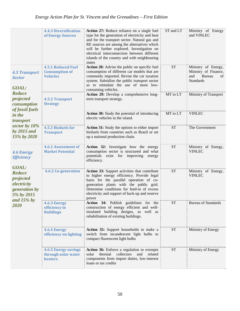|                                                                                          | <b>4.4.3 Diversification</b><br>of Energy Sources                     | Action 27: Reduce reliance on a single fuel<br>type for the generation of electricity and heat<br>and for the transport sector. Natural gas and<br>RE sources are among the alternatives which<br>will be further explored. Investigation on<br>electrical interconnection between different<br>islands of the country and with neighbouring<br>states | ST and LT | Ministry of Energy<br>and VINLEC                                                       |
|------------------------------------------------------------------------------------------|-----------------------------------------------------------------------|--------------------------------------------------------------------------------------------------------------------------------------------------------------------------------------------------------------------------------------------------------------------------------------------------------------------------------------------------------|-----------|----------------------------------------------------------------------------------------|
| <b>4.5 Transport</b><br><b>Sector</b><br><b>GOAL:</b>                                    | <b>4.5.1 Reduced Fuel</b><br><b>Consumption of</b><br><b>Vehicles</b> | <b>Action 28:</b> Advise the public on specific fuel<br>consumption of different car models that are<br>commonly imported. Revise the car taxation<br>system. Subsidize the public transport sector<br>as to stimulate the use of more low-<br>consuming vehicles.                                                                                     | <b>ST</b> | Ministry of Energy,<br>Ministry of Finance,<br>and<br>Bureau<br>of<br><b>Standards</b> |
| <b>Reduce</b><br>projected<br>consumption                                                | <b>4.5.2 Transport</b><br><b>Strategy</b>                             | Action 29: Develop a comprehensive long-<br>term transport strategy.                                                                                                                                                                                                                                                                                   | MT to LT  | Ministry of Transport                                                                  |
| of fossil fuels<br>in the<br>transport                                                   |                                                                       | Action 30: Study the potential of introducing<br>electric vehicles in the island.                                                                                                                                                                                                                                                                      | MT to LT  | <b>VINLEC</b>                                                                          |
| sector by 10%<br>by $2015$ and<br>15% by 2020                                            | 4.5.3 Biofuels for<br><b>Transport</b>                                | Action 31: Study the options to either import<br>biofuels from countries such as Brazil or set<br>up a national production chain.                                                                                                                                                                                                                      | <b>ST</b> | The Government                                                                         |
| <b>4.6 Energy</b><br><b>Efficiency</b>                                                   | 4.6.1 Assessment of<br><b>Market Potential</b>                        | Action 32: Investigate how the energy<br>consumption sector is structured and what<br>potentials exist for improving<br>energy<br>efficiency.                                                                                                                                                                                                          | <b>ST</b> | Ministry of Energy,<br><b>VINLEC</b>                                                   |
| <b>GOAL:</b><br><b>Reduce</b><br>projected<br>electricity<br>generation by<br>5% by 2015 | <b>4.6.2 Co-generation</b>                                            | Action 33: Support activities that contribute<br>to higher energy efficiency. Provide legal<br>basis for the parallel operation of co-<br>generation plants with the public grid.<br>Determine conditions for feed-in of excess<br>electricity and support of back-up and reserve<br>power                                                             | <b>ST</b> | Ministry of Energy,<br><b>VINLEC</b>                                                   |
| and $15\%$ by<br>2020                                                                    | 4.6.3 Energy<br>efficiency in<br><b>Buildings</b>                     | Action 34: Publish guidelines for the<br>construction of energy efficient and well-<br>insulated building designs, as well as<br>rehabilitation of existing buildings.                                                                                                                                                                                 | <b>ST</b> | <b>Bureau of Standards</b>                                                             |
|                                                                                          | 4.6.4 Energy<br>efficiency on lighting                                | Action 35: Support households to make a<br>switch from incandescent light bulbs to<br>compact fluorescent light bulbs                                                                                                                                                                                                                                  | <b>ST</b> | Ministry of Energy                                                                     |
|                                                                                          | <b>4.6.5 Energy savings</b><br>through solar water<br>heaters         | Action 36: Enforce a regulation to exempts<br>thermal<br>collectors<br>and<br>related<br>solar<br>components from import duties, low-interest<br>loans or tax credits                                                                                                                                                                                  | <b>ST</b> | Ministry of Energy                                                                     |